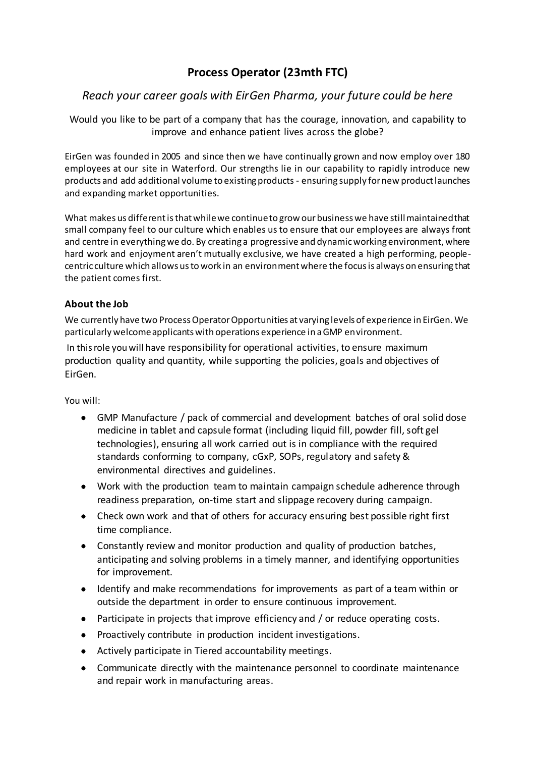# **Process Operator (23mth FTC)**

# *Reach your career goals with EirGen Pharma, your future could be here*

Would you like to be part of a company that has the courage, innovation, and capability to improve and enhance patient lives across the globe?

EirGen was founded in 2005 and since then we have continually grown and now employ over 180 employees at our site in Waterford. Our strengths lie in our capability to rapidly introduce new products and add additional volume to existing products - ensuring supply for new product launches and expanding market opportunities.

What makes us different is that while we continue to grow our business we have still maintained that small company feel to our culture which enables us to ensure that our employees are always front and centre in everything we do. By creating a progressive and dynamic working environment, where hard work and enjoyment aren't mutually exclusive, we have created a high performing, peoplecentric culture which allows us to work in an environment where the focus is always on ensuring that the patient comes first.

# **About the Job**

We currently have two Process Operator Opportunities at varying levels of experience in EirGen. We particularly welcome applicants with operations experience in a GMP environment.

In this role you will have responsibility for operational activities, to ensure maximum production quality and quantity, while supporting the policies, goals and objectives of EirGen.

#### You will:

- GMP Manufacture / pack of commercial and development batches of oral solid dose medicine in tablet and capsule format (including liquid fill, powder fill, soft gel technologies), ensuring all work carried out is in compliance with the required standards conforming to company, cGxP, SOPs, regulatory and safety & environmental directives and guidelines.
- Work with the production team to maintain campaign schedule adherence through readiness preparation, on-time start and slippage recovery during campaign.
- Check own work and that of others for accuracy ensuring best possible right first time compliance.
- Constantly review and monitor production and quality of production batches, anticipating and solving problems in a timely manner, and identifying opportunities for improvement.
- Identify and make recommendations for improvements as part of a team within or outside the department in order to ensure continuous improvement.
- Participate in projects that improve efficiency and / or reduce operating costs.
- Proactively contribute in production incident investigations.
- Actively participate in Tiered accountability meetings.
- Communicate directly with the maintenance personnel to coordinate maintenance and repair work in manufacturing areas.